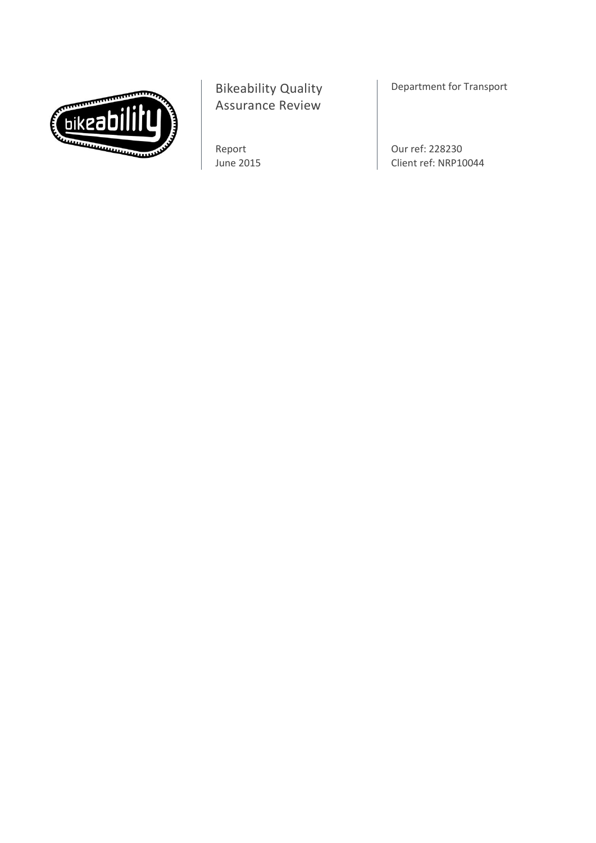

Bikeability Quality Assurance Review

Report June 2015 Department for Transport

Our ref: 228230 Client ref: NRP10044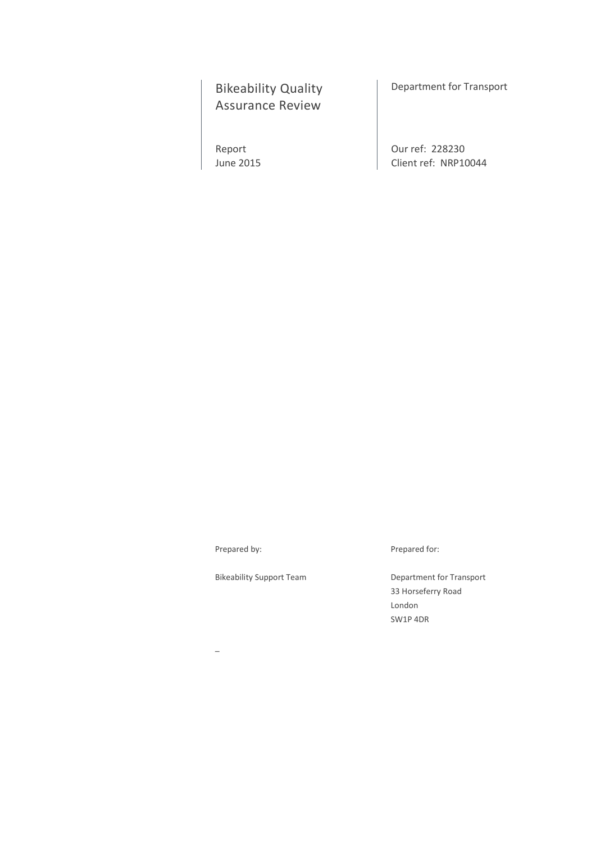## Bikeability Quality Assurance Review

Report June 2015 Department for Transport

Our ref: 228230 Client ref: NRP10044

Prepared by: Prepared for:

Bikeability Support Team Department for Transport 33 Horseferry Road London SW1P 4DR

\_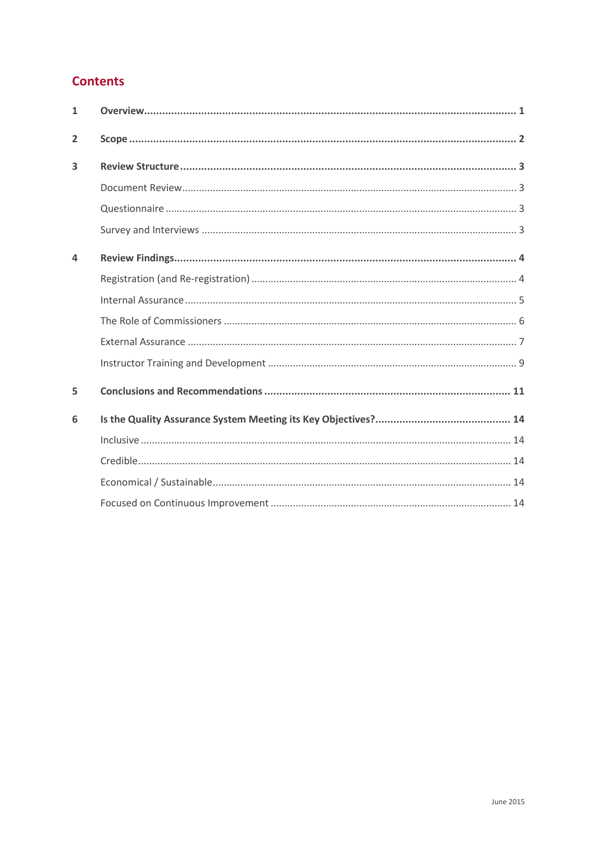## **Contents**

| $\mathbf{1}$            |  |
|-------------------------|--|
| $\overline{2}$          |  |
| $\overline{\mathbf{3}}$ |  |
|                         |  |
|                         |  |
|                         |  |
| 4                       |  |
|                         |  |
|                         |  |
|                         |  |
|                         |  |
|                         |  |
| 5                       |  |
| 6                       |  |
|                         |  |
|                         |  |
|                         |  |
|                         |  |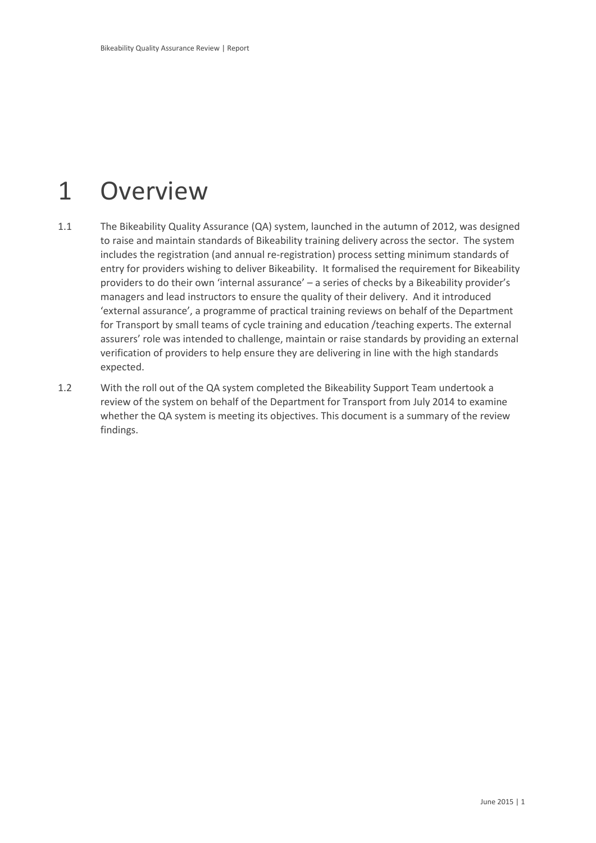## <span id="page-4-0"></span>1 Overview

- 1.1 The Bikeability Quality Assurance (QA) system, launched in the autumn of 2012, was designed to raise and maintain standards of Bikeability training delivery across the sector. The system includes the registration (and annual re-registration) process setting minimum standards of entry for providers wishing to deliver Bikeability. It formalised the requirement for Bikeability providers to do their own 'internal assurance' – a series of checks by a Bikeability provider's managers and lead instructors to ensure the quality of their delivery. And it introduced 'external assurance', a programme of practical training reviews on behalf of the Department for Transport by small teams of cycle training and education /teaching experts. The external assurers' role was intended to challenge, maintain or raise standards by providing an external verification of providers to help ensure they are delivering in line with the high standards expected.
- 1.2 With the roll out of the QA system completed the Bikeability Support Team undertook a review of the system on behalf of the Department for Transport from July 2014 to examine whether the QA system is meeting its objectives. This document is a summary of the review findings.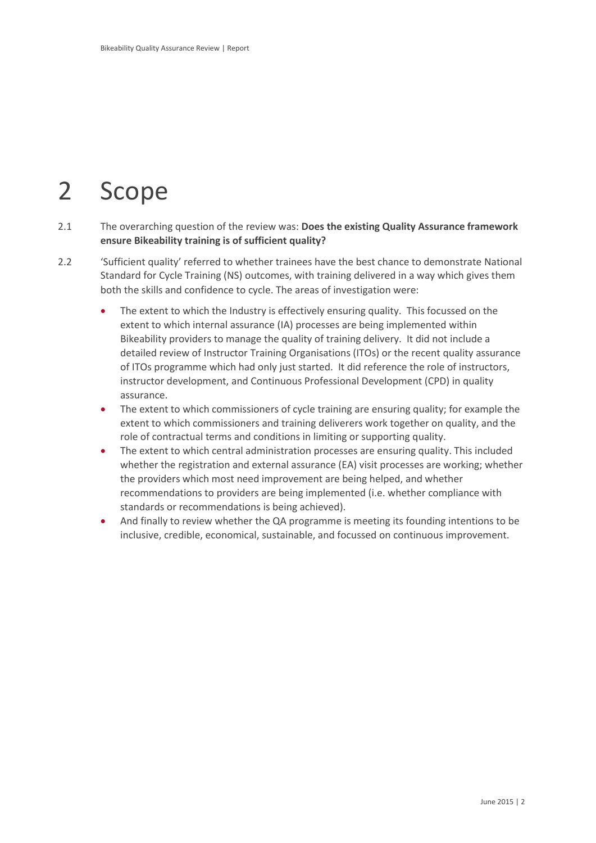# <span id="page-5-0"></span>2 Scope

### 2.1 The overarching question of the review was: **Does the existing Quality Assurance framework ensure Bikeability training is of sufficient quality?**

- 2.2 'Sufficient quality' referred to whether trainees have the best chance to demonstrate National Standard for Cycle Training (NS) outcomes, with training delivered in a way which gives them both the skills and confidence to cycle. The areas of investigation were:
	- The extent to which the Industry is effectively ensuring quality. This focussed on the extent to which internal assurance (IA) processes are being implemented within Bikeability providers to manage the quality of training delivery. It did not include a detailed review of Instructor Training Organisations (ITOs) or the recent quality assurance of ITOs programme which had only just started. It did reference the role of instructors, instructor development, and Continuous Professional Development (CPD) in quality assurance.
	- The extent to which commissioners of cycle training are ensuring quality; for example the extent to which commissioners and training deliverers work together on quality, and the role of contractual terms and conditions in limiting or supporting quality.
	- The extent to which central administration processes are ensuring quality. This included whether the registration and external assurance (EA) visit processes are working; whether the providers which most need improvement are being helped, and whether recommendations to providers are being implemented (i.e. whether compliance with standards or recommendations is being achieved).
	- And finally to review whether the QA programme is meeting its founding intentions to be inclusive, credible, economical, sustainable, and focussed on continuous improvement.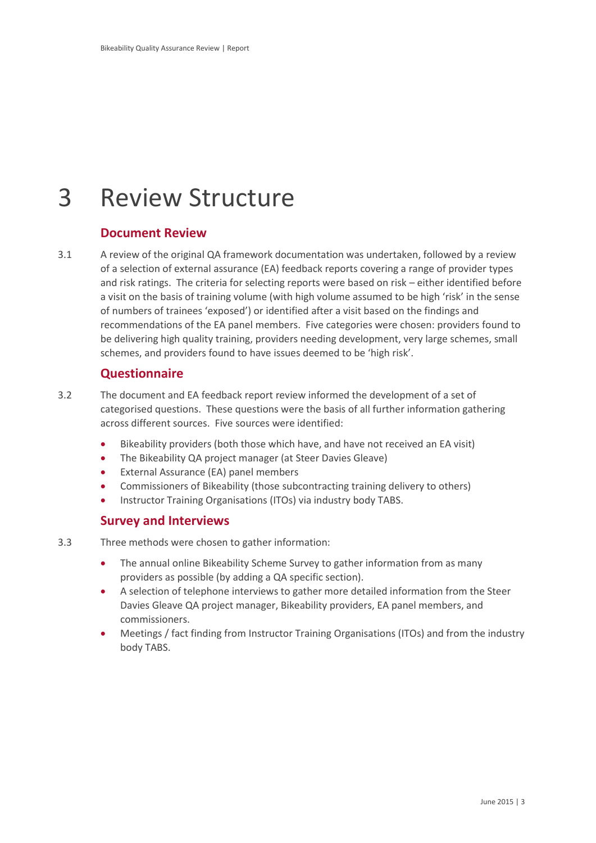## <span id="page-6-0"></span>3 Review Structure

### <span id="page-6-1"></span>**Document Review**

3.1 A review of the original QA framework documentation was undertaken, followed by a review of a selection of external assurance (EA) feedback reports covering a range of provider types and risk ratings. The criteria for selecting reports were based on risk – either identified before a visit on the basis of training volume (with high volume assumed to be high 'risk' in the sense of numbers of trainees 'exposed') or identified after a visit based on the findings and recommendations of the EA panel members. Five categories were chosen: providers found to be delivering high quality training, providers needing development, very large schemes, small schemes, and providers found to have issues deemed to be 'high risk'.

## <span id="page-6-2"></span>**Questionnaire**

- 3.2 The document and EA feedback report review informed the development of a set of categorised questions. These questions were the basis of all further information gathering across different sources. Five sources were identified:
	- Bikeability providers (both those which have, and have not received an EA visit)
	- The Bikeability QA project manager (at Steer Davies Gleave)
	- External Assurance (EA) panel members
	- Commissioners of Bikeability (those subcontracting training delivery to others)
	- Instructor Training Organisations (ITOs) via industry body TABS.

## <span id="page-6-3"></span>**Survey and Interviews**

- 3.3 Three methods were chosen to gather information:
	- The annual online Bikeability Scheme Survey to gather information from as many providers as possible (by adding a QA specific section).
	- A selection of telephone interviews to gather more detailed information from the Steer Davies Gleave QA project manager, Bikeability providers, EA panel members, and commissioners.
	- Meetings / fact finding from Instructor Training Organisations (ITOs) and from the industry body TABS.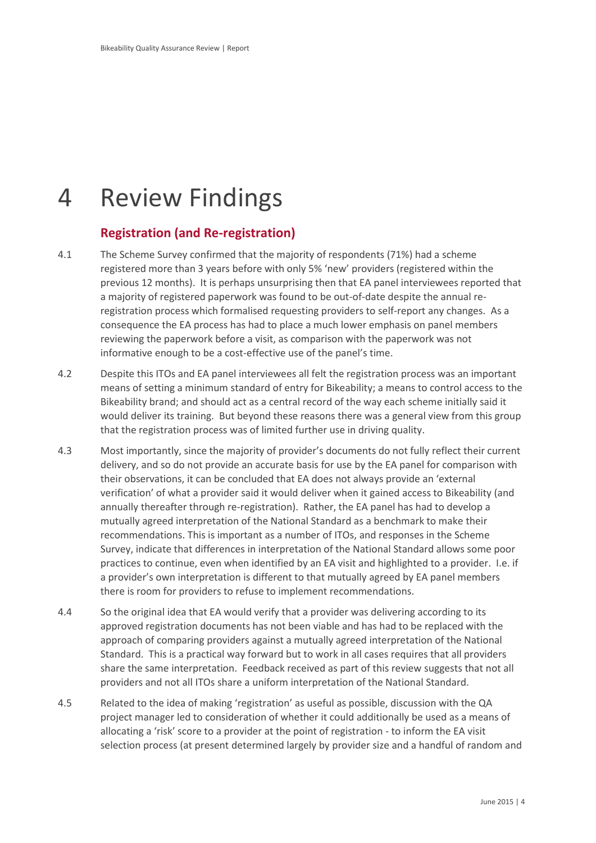# <span id="page-7-0"></span>4 Review Findings

## <span id="page-7-1"></span>**Registration (and Re-registration)**

- 4.1 The Scheme Survey confirmed that the majority of respondents (71%) had a scheme registered more than 3 years before with only 5% 'new' providers (registered within the previous 12 months). It is perhaps unsurprising then that EA panel interviewees reported that a majority of registered paperwork was found to be out-of-date despite the annual reregistration process which formalised requesting providers to self-report any changes. As a consequence the EA process has had to place a much lower emphasis on panel members reviewing the paperwork before a visit, as comparison with the paperwork was not informative enough to be a cost-effective use of the panel's time.
- 4.2 Despite this ITOs and EA panel interviewees all felt the registration process was an important means of setting a minimum standard of entry for Bikeability; a means to control access to the Bikeability brand; and should act as a central record of the way each scheme initially said it would deliver its training. But beyond these reasons there was a general view from this group that the registration process was of limited further use in driving quality.
- 4.3 Most importantly, since the majority of provider's documents do not fully reflect their current delivery, and so do not provide an accurate basis for use by the EA panel for comparison with their observations, it can be concluded that EA does not always provide an 'external verification' of what a provider said it would deliver when it gained access to Bikeability (and annually thereafter through re-registration). Rather, the EA panel has had to develop a mutually agreed interpretation of the National Standard as a benchmark to make their recommendations. This is important as a number of ITOs, and responses in the Scheme Survey, indicate that differences in interpretation of the National Standard allows some poor practices to continue, even when identified by an EA visit and highlighted to a provider. I.e. if a provider's own interpretation is different to that mutually agreed by EA panel members there is room for providers to refuse to implement recommendations.
- 4.4 So the original idea that EA would verify that a provider was delivering according to its approved registration documents has not been viable and has had to be replaced with the approach of comparing providers against a mutually agreed interpretation of the National Standard. This is a practical way forward but to work in all cases requires that all providers share the same interpretation. Feedback received as part of this review suggests that not all providers and not all ITOs share a uniform interpretation of the National Standard.
- 4.5 Related to the idea of making 'registration' as useful as possible, discussion with the QA project manager led to consideration of whether it could additionally be used as a means of allocating a 'risk' score to a provider at the point of registration - to inform the EA visit selection process (at present determined largely by provider size and a handful of random and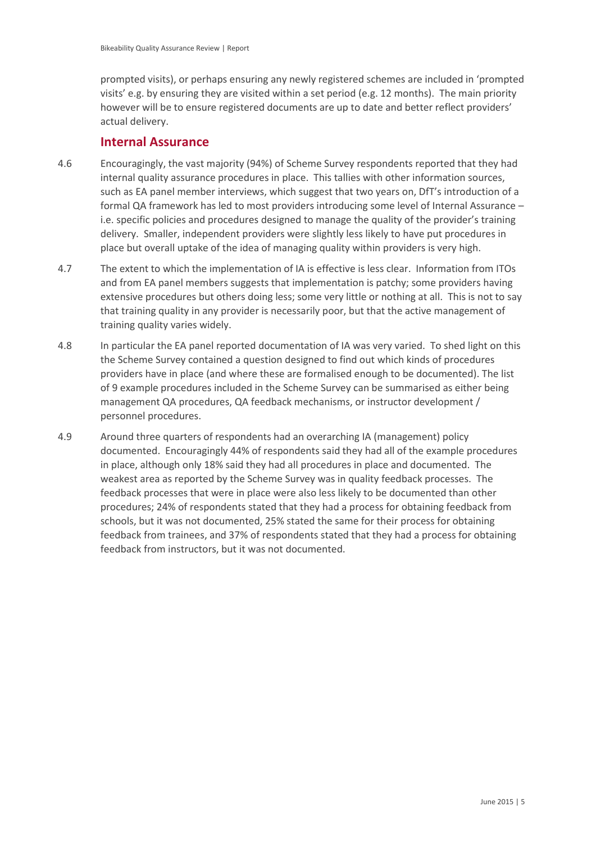prompted visits), or perhaps ensuring any newly registered schemes are included in 'prompted visits' e.g. by ensuring they are visited within a set period (e.g. 12 months). The main priority however will be to ensure registered documents are up to date and better reflect providers' actual delivery.

### <span id="page-8-0"></span>**Internal Assurance**

- 4.6 Encouragingly, the vast majority (94%) of Scheme Survey respondents reported that they had internal quality assurance procedures in place. This tallies with other information sources, such as EA panel member interviews, which suggest that two years on, DfT's introduction of a formal QA framework has led to most providers introducing some level of Internal Assurance – i.e. specific policies and procedures designed to manage the quality of the provider's training delivery. Smaller, independent providers were slightly less likely to have put procedures in place but overall uptake of the idea of managing quality within providers is very high.
- 4.7 The extent to which the implementation of IA is effective is less clear. Information from ITOs and from EA panel members suggests that implementation is patchy; some providers having extensive procedures but others doing less; some very little or nothing at all. This is not to say that training quality in any provider is necessarily poor, but that the active management of training quality varies widely.
- 4.8 In particular the EA panel reported documentation of IA was very varied. To shed light on this the Scheme Survey contained a question designed to find out which kinds of procedures providers have in place (and where these are formalised enough to be documented). The list of 9 example procedures included in the Scheme Survey can be summarised as either being management QA procedures, QA feedback mechanisms, or instructor development / personnel procedures.
- 4.9 Around three quarters of respondents had an overarching IA (management) policy documented. Encouragingly 44% of respondents said they had all of the example procedures in place, although only 18% said they had all procedures in place and documented. The weakest area as reported by the Scheme Survey was in quality feedback processes. The feedback processes that were in place were also less likely to be documented than other procedures; 24% of respondents stated that they had a process for obtaining feedback from schools, but it was not documented, 25% stated the same for their process for obtaining feedback from trainees, and 37% of respondents stated that they had a process for obtaining feedback from instructors, but it was not documented.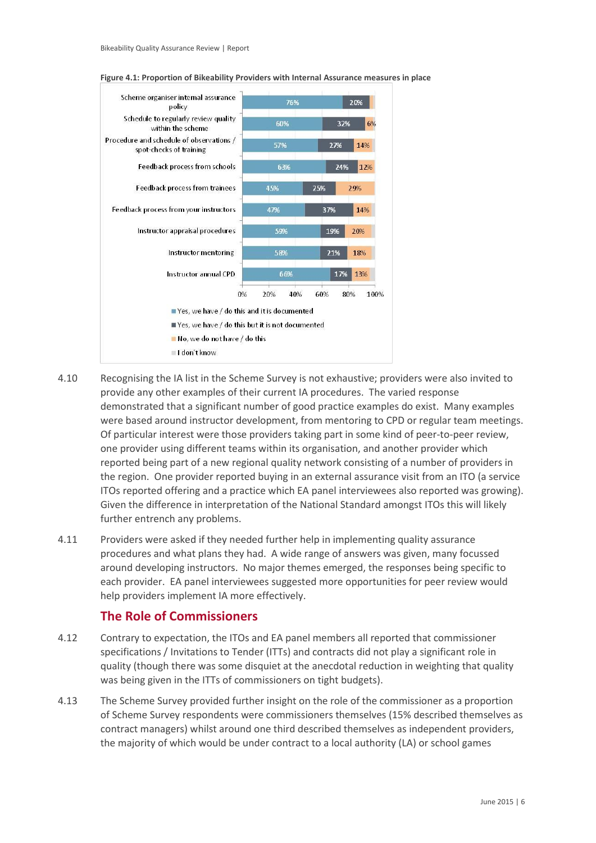

#### **Figure 4.1: Proportion of Bikeability Providers with Internal Assurance measures in place**

- 4.10 Recognising the IA list in the Scheme Survey is not exhaustive; providers were also invited to provide any other examples of their current IA procedures. The varied response demonstrated that a significant number of good practice examples do exist. Many examples were based around instructor development, from mentoring to CPD or regular team meetings. Of particular interest were those providers taking part in some kind of peer-to-peer review, one provider using different teams within its organisation, and another provider which reported being part of a new regional quality network consisting of a number of providers in the region. One provider reported buying in an external assurance visit from an ITO (a service ITOs reported offering and a practice which EA panel interviewees also reported was growing). Given the difference in interpretation of the National Standard amongst ITOs this will likely further entrench any problems.
- 4.11 Providers were asked if they needed further help in implementing quality assurance procedures and what plans they had. A wide range of answers was given, many focussed around developing instructors. No major themes emerged, the responses being specific to each provider. EA panel interviewees suggested more opportunities for peer review would help providers implement IA more effectively.

### <span id="page-9-0"></span>**The Role of Commissioners**

- 4.12 Contrary to expectation, the ITOs and EA panel members all reported that commissioner specifications / Invitations to Tender (ITTs) and contracts did not play a significant role in quality (though there was some disquiet at the anecdotal reduction in weighting that quality was being given in the ITTs of commissioners on tight budgets).
- 4.13 The Scheme Survey provided further insight on the role of the commissioner as a proportion of Scheme Survey respondents were commissioners themselves (15% described themselves as contract managers) whilst around one third described themselves as independent providers, the majority of which would be under contract to a local authority (LA) or school games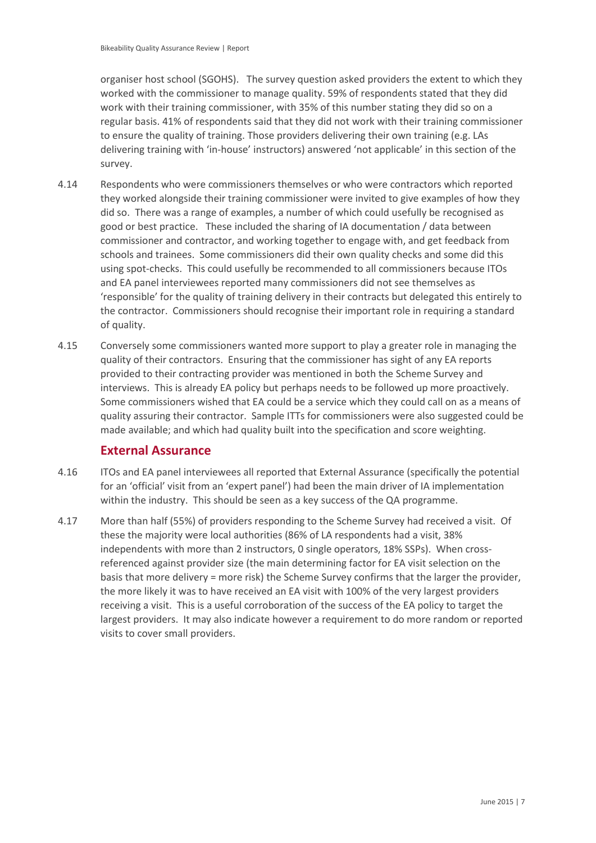organiser host school (SGOHS). The survey question asked providers the extent to which they worked with the commissioner to manage quality. 59% of respondents stated that they did work with their training commissioner, with 35% of this number stating they did so on a regular basis. 41% of respondents said that they did not work with their training commissioner to ensure the quality of training. Those providers delivering their own training (e.g. LAs delivering training with 'in-house' instructors) answered 'not applicable' in this section of the survey.

- 4.14 Respondents who were commissioners themselves or who were contractors which reported they worked alongside their training commissioner were invited to give examples of how they did so. There was a range of examples, a number of which could usefully be recognised as good or best practice. These included the sharing of IA documentation / data between commissioner and contractor, and working together to engage with, and get feedback from schools and trainees. Some commissioners did their own quality checks and some did this using spot-checks. This could usefully be recommended to all commissioners because ITOs and EA panel interviewees reported many commissioners did not see themselves as 'responsible' for the quality of training delivery in their contracts but delegated this entirely to the contractor. Commissioners should recognise their important role in requiring a standard of quality.
- 4.15 Conversely some commissioners wanted more support to play a greater role in managing the quality of their contractors. Ensuring that the commissioner has sight of any EA reports provided to their contracting provider was mentioned in both the Scheme Survey and interviews. This is already EA policy but perhaps needs to be followed up more proactively. Some commissioners wished that EA could be a service which they could call on as a means of quality assuring their contractor. Sample ITTs for commissioners were also suggested could be made available; and which had quality built into the specification and score weighting.

## <span id="page-10-0"></span>**External Assurance**

- 4.16 ITOs and EA panel interviewees all reported that External Assurance (specifically the potential for an 'official' visit from an 'expert panel') had been the main driver of IA implementation within the industry. This should be seen as a key success of the QA programme.
- 4.17 More than half (55%) of providers responding to the Scheme Survey had received a visit. Of these the majority were local authorities (86% of LA respondents had a visit, 38% independents with more than 2 instructors, 0 single operators, 18% SSPs). When crossreferenced against provider size (the main determining factor for EA visit selection on the basis that more delivery = more risk) the Scheme Survey confirms that the larger the provider, the more likely it was to have received an EA visit with 100% of the very largest providers receiving a visit. This is a useful corroboration of the success of the EA policy to target the largest providers. It may also indicate however a requirement to do more random or reported visits to cover small providers.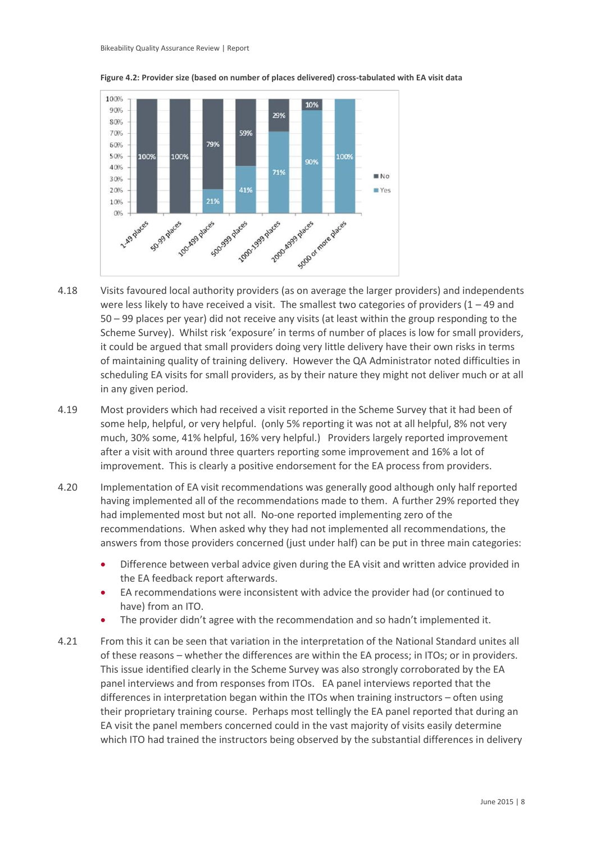

**Figure 4.2: Provider size (based on number of places delivered) cross-tabulated with EA visit data**

- 4.18 Visits favoured local authority providers (as on average the larger providers) and independents were less likely to have received a visit. The smallest two categories of providers  $(1 - 49)$  and 50 – 99 places per year) did not receive any visits (at least within the group responding to the Scheme Survey). Whilst risk 'exposure' in terms of number of places is low for small providers, it could be argued that small providers doing very little delivery have their own risks in terms of maintaining quality of training delivery. However the QA Administrator noted difficulties in scheduling EA visits for small providers, as by their nature they might not deliver much or at all in any given period.
- 4.19 Most providers which had received a visit reported in the Scheme Survey that it had been of some help, helpful, or very helpful. (only 5% reporting it was not at all helpful, 8% not very much, 30% some, 41% helpful, 16% very helpful.) Providers largely reported improvement after a visit with around three quarters reporting some improvement and 16% a lot of improvement. This is clearly a positive endorsement for the EA process from providers.
- 4.20 Implementation of EA visit recommendations was generally good although only half reported having implemented all of the recommendations made to them. A further 29% reported they had implemented most but not all. No-one reported implementing zero of the recommendations. When asked why they had not implemented all recommendations, the answers from those providers concerned (just under half) can be put in three main categories:
	- Difference between verbal advice given during the EA visit and written advice provided in the EA feedback report afterwards.
	- EA recommendations were inconsistent with advice the provider had (or continued to have) from an ITO.
	- The provider didn't agree with the recommendation and so hadn't implemented it.
- 4.21 From this it can be seen that variation in the interpretation of the National Standard unites all of these reasons – whether the differences are within the EA process; in ITOs; or in providers. This issue identified clearly in the Scheme Survey was also strongly corroborated by the EA panel interviews and from responses from ITOs. EA panel interviews reported that the differences in interpretation began within the ITOs when training instructors – often using their proprietary training course. Perhaps most tellingly the EA panel reported that during an EA visit the panel members concerned could in the vast majority of visits easily determine which ITO had trained the instructors being observed by the substantial differences in delivery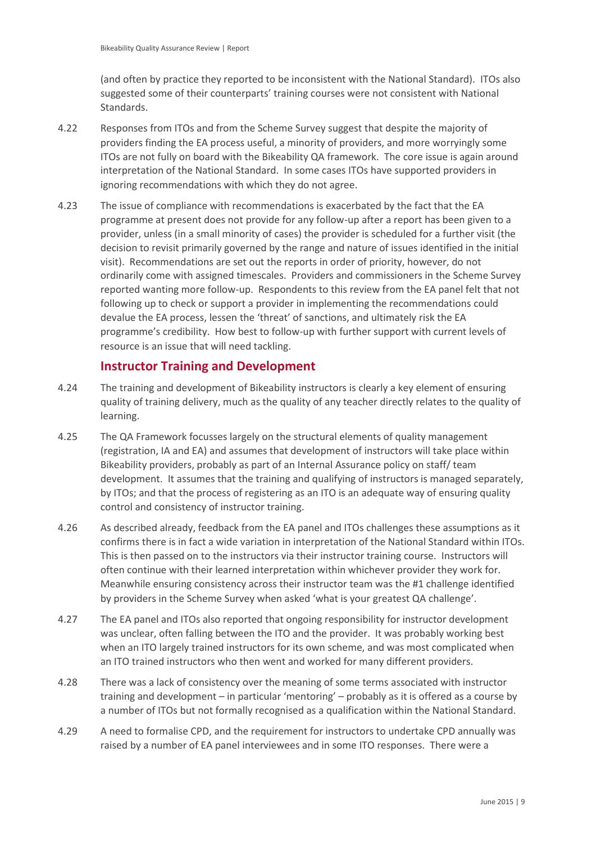(and often by practice they reported to be inconsistent with the National Standard). ITOs also suggested some of their counterparts' training courses were not consistent with National Standards.

- 4.22 Responses from ITOs and from the Scheme Survey suggest that despite the majority of providers finding the EA process useful, a minority of providers, and more worryingly some ITOs are not fully on board with the Bikeability QA framework. The core issue is again around interpretation of the National Standard. In some cases ITOs have supported providers in ignoring recommendations with which they do not agree.
- 4.23 The issue of compliance with recommendations is exacerbated by the fact that the EA programme at present does not provide for any follow-up after a report has been given to a provider, unless (in a small minority of cases) the provider is scheduled for a further visit (the decision to revisit primarily governed by the range and nature of issues identified in the initial visit). Recommendations are set out the reports in order of priority, however, do not ordinarily come with assigned timescales. Providers and commissioners in the Scheme Survey reported wanting more follow-up. Respondents to this review from the EA panel felt that not following up to check or support a provider in implementing the recommendations could devalue the EA process, lessen the 'threat' of sanctions, and ultimately risk the EA programme's credibility. How best to follow-up with further support with current levels of resource is an issue that will need tackling.

## <span id="page-12-0"></span>**Instructor Training and Development**

- 4.24 The training and development of Bikeability instructors is clearly a key element of ensuring quality of training delivery, much as the quality of any teacher directly relates to the quality of learning.
- 4.25 The QA Framework focusses largely on the structural elements of quality management (registration, IA and EA) and assumes that development of instructors will take place within Bikeability providers, probably as part of an Internal Assurance policy on staff/ team development. It assumes that the training and qualifying of instructors is managed separately, by ITOs; and that the process of registering as an ITO is an adequate way of ensuring quality control and consistency of instructor training.
- 4.26 As described already, feedback from the EA panel and ITOs challenges these assumptions as it confirms there is in fact a wide variation in interpretation of the National Standard within ITOs. This is then passed on to the instructors via their instructor training course. Instructors will often continue with their learned interpretation within whichever provider they work for. Meanwhile ensuring consistency across their instructor team was the #1 challenge identified by providers in the Scheme Survey when asked 'what is your greatest QA challenge'.
- 4.27 The EA panel and ITOs also reported that ongoing responsibility for instructor development was unclear, often falling between the ITO and the provider. It was probably working best when an ITO largely trained instructors for its own scheme, and was most complicated when an ITO trained instructors who then went and worked for many different providers.
- 4.28 There was a lack of consistency over the meaning of some terms associated with instructor training and development – in particular 'mentoring' – probably as it is offered as a course by a number of ITOs but not formally recognised as a qualification within the National Standard.
- 4.29 A need to formalise CPD, and the requirement for instructors to undertake CPD annually was raised by a number of EA panel interviewees and in some ITO responses. There were a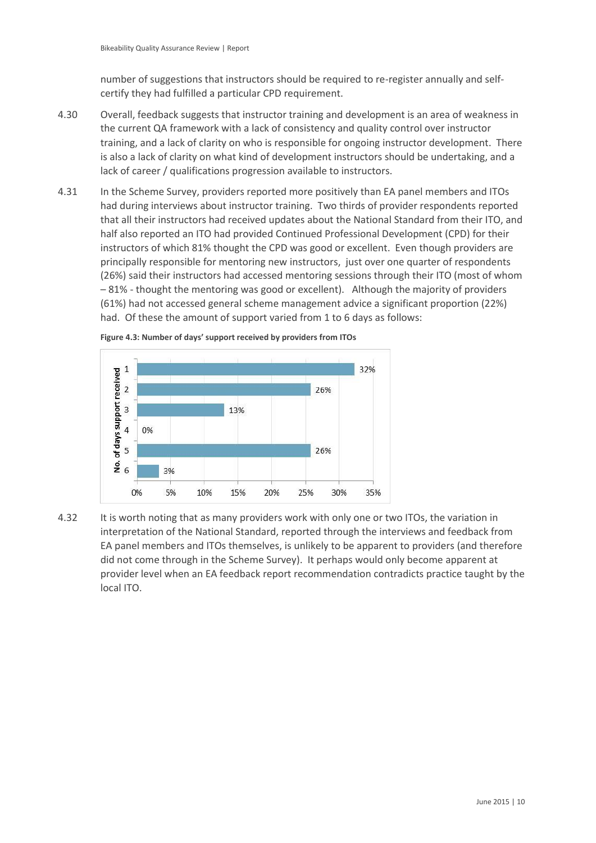number of suggestions that instructors should be required to re-register annually and selfcertify they had fulfilled a particular CPD requirement.

- 4.30 Overall, feedback suggests that instructor training and development is an area of weakness in the current QA framework with a lack of consistency and quality control over instructor training, and a lack of clarity on who is responsible for ongoing instructor development. There is also a lack of clarity on what kind of development instructors should be undertaking, and a lack of career / qualifications progression available to instructors.
- 4.31 In the Scheme Survey, providers reported more positively than EA panel members and ITOs had during interviews about instructor training. Two thirds of provider respondents reported that all their instructors had received updates about the National Standard from their ITO, and half also reported an ITO had provided Continued Professional Development (CPD) for their instructors of which 81% thought the CPD was good or excellent. Even though providers are principally responsible for mentoring new instructors, just over one quarter of respondents (26%) said their instructors had accessed mentoring sessions through their ITO (most of whom – 81% - thought the mentoring was good or excellent). Although the majority of providers (61%) had not accessed general scheme management advice a significant proportion (22%) had. Of these the amount of support varied from 1 to 6 days as follows:





4.32 It is worth noting that as many providers work with only one or two ITOs, the variation in interpretation of the National Standard, reported through the interviews and feedback from EA panel members and ITOs themselves, is unlikely to be apparent to providers (and therefore did not come through in the Scheme Survey). It perhaps would only become apparent at provider level when an EA feedback report recommendation contradicts practice taught by the local ITO.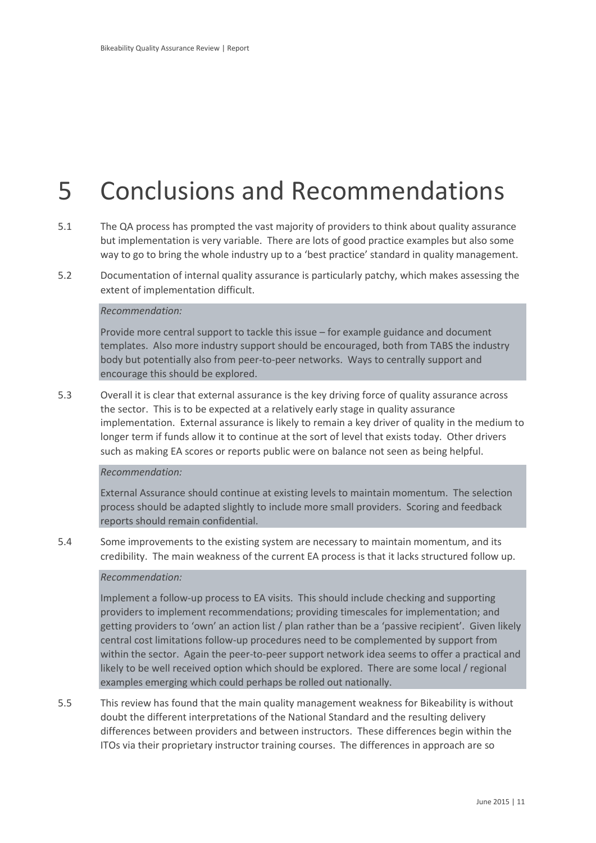# <span id="page-14-0"></span>5 Conclusions and Recommendations

- 5.1 The QA process has prompted the vast majority of providers to think about quality assurance but implementation is very variable. There are lots of good practice examples but also some way to go to bring the whole industry up to a 'best practice' standard in quality management.
- 5.2 Documentation of internal quality assurance is particularly patchy, which makes assessing the extent of implementation difficult.

#### *Recommendation:*

Provide more central support to tackle this issue – for example guidance and document templates. Also more industry support should be encouraged, both from TABS the industry body but potentially also from peer-to-peer networks. Ways to centrally support and encourage this should be explored.

5.3 Overall it is clear that external assurance is the key driving force of quality assurance across the sector. This is to be expected at a relatively early stage in quality assurance implementation. External assurance is likely to remain a key driver of quality in the medium to longer term if funds allow it to continue at the sort of level that exists today. Other drivers such as making EA scores or reports public were on balance not seen as being helpful.

#### *Recommendation:*

External Assurance should continue at existing levels to maintain momentum. The selection process should be adapted slightly to include more small providers. Scoring and feedback reports should remain confidential.

5.4 Some improvements to the existing system are necessary to maintain momentum, and its credibility. The main weakness of the current EA process is that it lacks structured follow up.

#### *Recommendation:*

Implement a follow-up process to EA visits. This should include checking and supporting providers to implement recommendations; providing timescales for implementation; and getting providers to 'own' an action list / plan rather than be a 'passive recipient'. Given likely central cost limitations follow-up procedures need to be complemented by support from within the sector. Again the peer-to-peer support network idea seems to offer a practical and likely to be well received option which should be explored. There are some local / regional examples emerging which could perhaps be rolled out nationally.

5.5 This review has found that the main quality management weakness for Bikeability is without doubt the different interpretations of the National Standard and the resulting delivery differences between providers and between instructors. These differences begin within the ITOs via their proprietary instructor training courses. The differences in approach are so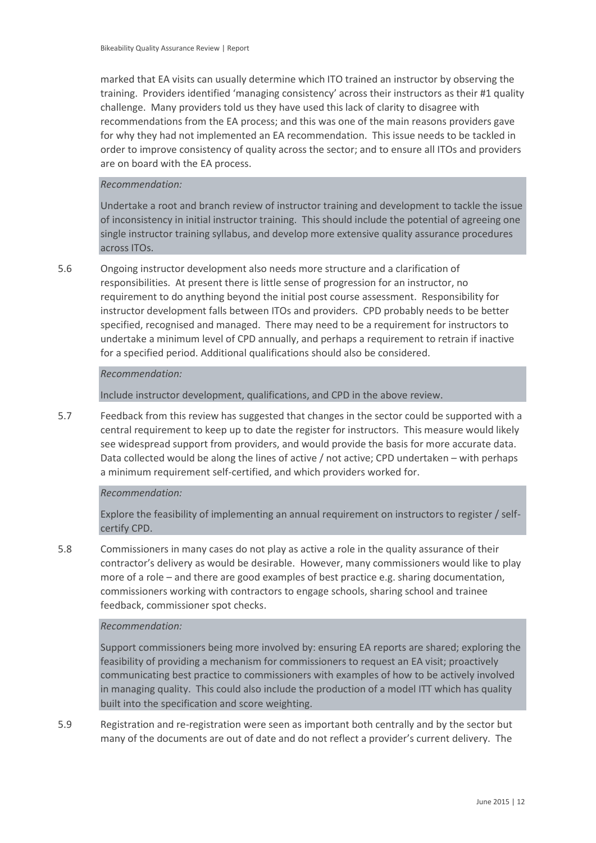marked that EA visits can usually determine which ITO trained an instructor by observing the training. Providers identified 'managing consistency' across their instructors as their #1 quality challenge. Many providers told us they have used this lack of clarity to disagree with recommendations from the EA process; and this was one of the main reasons providers gave for why they had not implemented an EA recommendation. This issue needs to be tackled in order to improve consistency of quality across the sector; and to ensure all ITOs and providers are on board with the EA process.

#### *Recommendation:*

Undertake a root and branch review of instructor training and development to tackle the issue of inconsistency in initial instructor training. This should include the potential of agreeing one single instructor training syllabus, and develop more extensive quality assurance procedures across ITOs.

5.6 Ongoing instructor development also needs more structure and a clarification of responsibilities. At present there is little sense of progression for an instructor, no requirement to do anything beyond the initial post course assessment. Responsibility for instructor development falls between ITOs and providers. CPD probably needs to be better specified, recognised and managed. There may need to be a requirement for instructors to undertake a minimum level of CPD annually, and perhaps a requirement to retrain if inactive for a specified period. Additional qualifications should also be considered.

#### *Recommendation:*

Include instructor development, qualifications, and CPD in the above review.

5.7 Feedback from this review has suggested that changes in the sector could be supported with a central requirement to keep up to date the register for instructors. This measure would likely see widespread support from providers, and would provide the basis for more accurate data. Data collected would be along the lines of active / not active; CPD undertaken – with perhaps a minimum requirement self-certified, and which providers worked for.

#### *Recommendation:*

Explore the feasibility of implementing an annual requirement on instructors to register / selfcertify CPD.

5.8 Commissioners in many cases do not play as active a role in the quality assurance of their contractor's delivery as would be desirable. However, many commissioners would like to play more of a role – and there are good examples of best practice e.g. sharing documentation, commissioners working with contractors to engage schools, sharing school and trainee feedback, commissioner spot checks.

#### *Recommendation:*

Support commissioners being more involved by: ensuring EA reports are shared; exploring the feasibility of providing a mechanism for commissioners to request an EA visit; proactively communicating best practice to commissioners with examples of how to be actively involved in managing quality. This could also include the production of a model ITT which has quality built into the specification and score weighting.

5.9 Registration and re-registration were seen as important both centrally and by the sector but many of the documents are out of date and do not reflect a provider's current delivery. The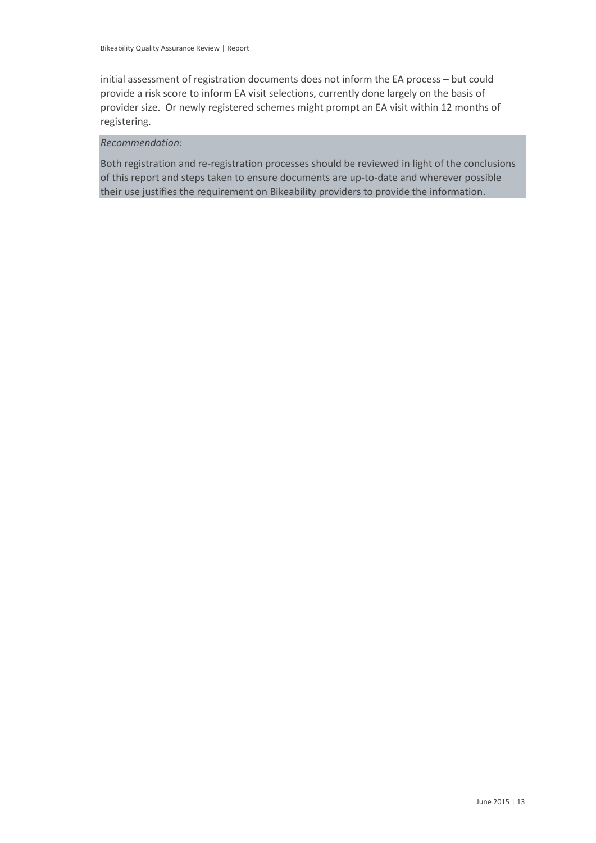initial assessment of registration documents does not inform the EA process – but could provide a risk score to inform EA visit selections, currently done largely on the basis of provider size. Or newly registered schemes might prompt an EA visit within 12 months of registering.

#### *Recommendation:*

Both registration and re-registration processes should be reviewed in light of the conclusions of this report and steps taken to ensure documents are up-to-date and wherever possible their use justifies the requirement on Bikeability providers to provide the information.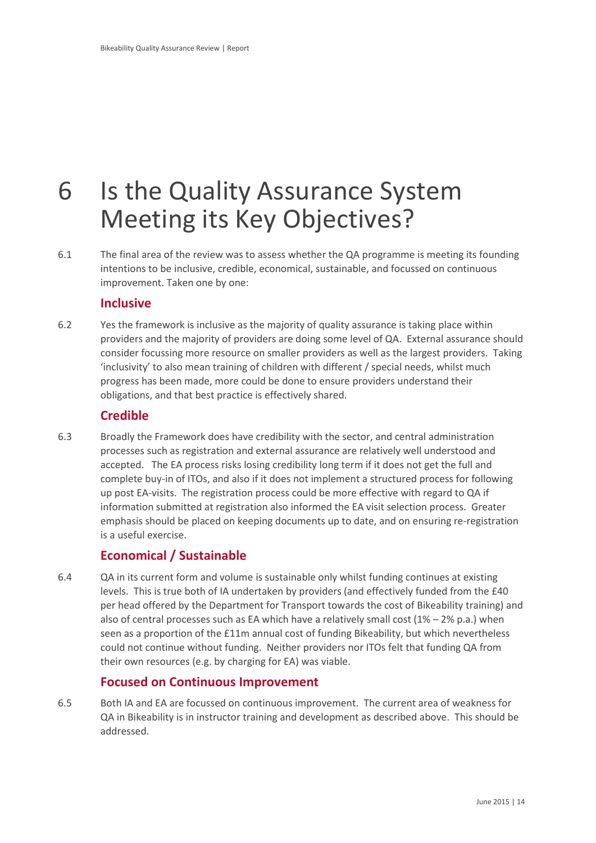## <span id="page-17-0"></span>6 Is the Quality Assurance System Meeting its Key Objectives?

6.1 The final area of the review was to assess whether the QA programme is meeting its founding intentions to be inclusive, credible, economical, sustainable, and focussed on continuous improvement. Taken one by one:

### <span id="page-17-1"></span>**Inclusive**

6.2 Yes the framework is inclusive as the majority of quality assurance is taking place within providers and the majority of providers are doing some level of QA. External assurance should consider focussing more resource on smaller providers as well as the largest providers. Taking 'inclusivity' to also mean training of children with different / special needs, whilst much progress has been made, more could be done to ensure providers understand their obligations, and that best practice is effectively shared.

## <span id="page-17-2"></span>**Credible**

6.3 Broadly the Framework does have credibility with the sector, and central administration processes such as registration and external assurance are relatively well understood and accepted. The EA process risks losing credibility long term if it does not get the full and complete buy-in of ITOs, and also if it does not implement a structured process for following up post EA-visits. The registration process could be more effective with regard to QA if information submitted at registration also informed the EA visit selection process. Greater emphasis should be placed on keeping documents up to date, and on ensuring re-registration is a useful exercise.

## <span id="page-17-3"></span>**Economical / Sustainable**

6.4 QA in its current form and volume is sustainable only whilst funding continues at existing levels. This is true both of IA undertaken by providers (and effectively funded from the £40 per head offered by the Department for Transport towards the cost of Bikeability training) and also of central processes such as EA which have a relatively small cost  $(1% - 2%$  p.a.) when seen as a proportion of the £11m annual cost of funding Bikeability, but which nevertheless could not continue without funding. Neither providers nor ITOs felt that funding QA from their own resources (e.g. by charging for EA) was viable.

## <span id="page-17-4"></span>**Focused on Continuous Improvement**

6.5 Both IA and EA are focussed on continuous improvement. The current area of weakness for QA in Bikeability is in instructor training and development as described above. This should be addressed.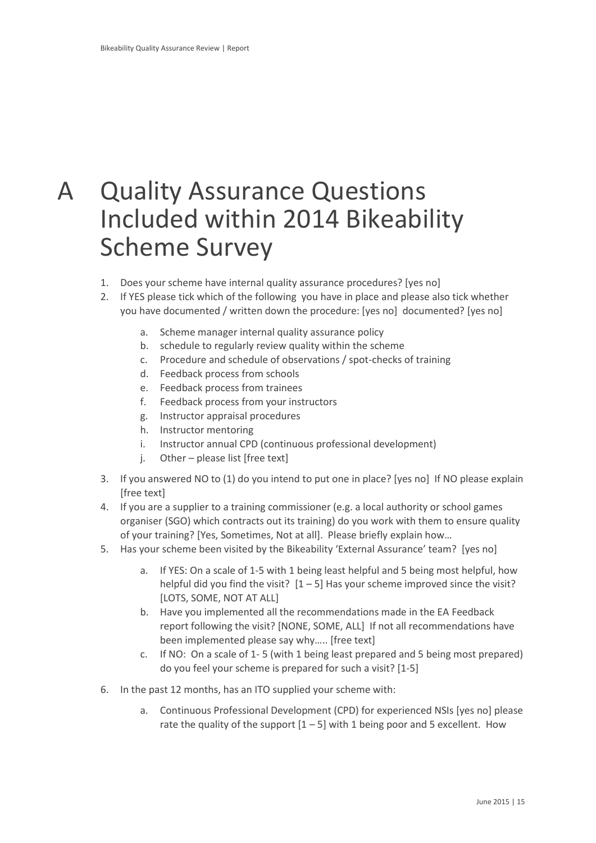## A Quality Assurance Questions Included within 2014 Bikeability Scheme Survey

- 1. Does your scheme have internal quality assurance procedures? [yes no]
- 2. If YES please tick which of the following you have in place and please also tick whether you have documented / written down the procedure: [yes no] documented? [yes no]
	- a. Scheme manager internal quality assurance policy
	- b. schedule to regularly review quality within the scheme
	- c. Procedure and schedule of observations / spot-checks of training
	- d. Feedback process from schools
	- e. Feedback process from trainees
	- f. Feedback process from your instructors
	- g. Instructor appraisal procedures
	- h. Instructor mentoring
	- i. Instructor annual CPD (continuous professional development)
	- j. Other please list [free text]
- 3. If you answered NO to (1) do you intend to put one in place? [yes no] If NO please explain [free text]
- 4. If you are a supplier to a training commissioner (e.g. a local authority or school games organiser (SGO) which contracts out its training) do you work with them to ensure quality of your training? [Yes, Sometimes, Not at all]. Please briefly explain how…
- 5. Has your scheme been visited by the Bikeability 'External Assurance' team? [yes no]
	- a. If YES: On a scale of 1-5 with 1 being least helpful and 5 being most helpful, how helpful did you find the visit?  $[1 - 5]$  Has your scheme improved since the visit? [LOTS, SOME, NOT AT ALL]
	- b. Have you implemented all the recommendations made in the EA Feedback report following the visit? [NONE, SOME, ALL] If not all recommendations have been implemented please say why….. [free text]
	- c. If NO: On a scale of 1- 5 (with 1 being least prepared and 5 being most prepared) do you feel your scheme is prepared for such a visit? [1-5]
- 6. In the past 12 months, has an ITO supplied your scheme with:
	- a. Continuous Professional Development (CPD) for experienced NSIs [yes no] please rate the quality of the support  $[1 - 5]$  with 1 being poor and 5 excellent. How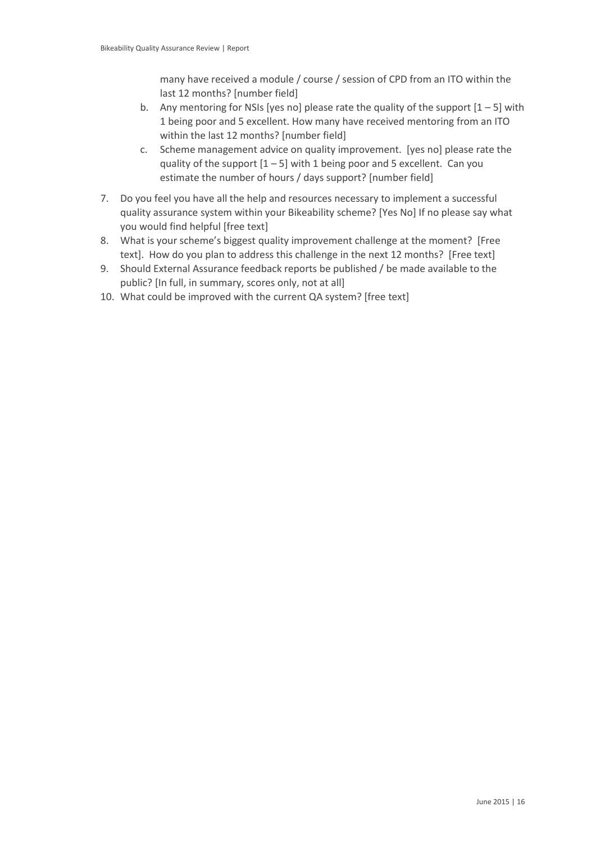many have received a module / course / session of CPD from an ITO within the last 12 months? [number field]

- b. Any mentoring for NSIs [yes no] please rate the quality of the support  $[1 5]$  with 1 being poor and 5 excellent. How many have received mentoring from an ITO within the last 12 months? [number field]
- c. Scheme management advice on quality improvement. [yes no] please rate the quality of the support  $[1 - 5]$  with 1 being poor and 5 excellent. Can you estimate the number of hours / days support? [number field]
- 7. Do you feel you have all the help and resources necessary to implement a successful quality assurance system within your Bikeability scheme? [Yes No] If no please say what you would find helpful [free text]
- 8. What is your scheme's biggest quality improvement challenge at the moment? [Free text]. How do you plan to address this challenge in the next 12 months? [Free text]
- 9. Should External Assurance feedback reports be published / be made available to the public? [In full, in summary, scores only, not at all]
- 10. What could be improved with the current QA system? [free text]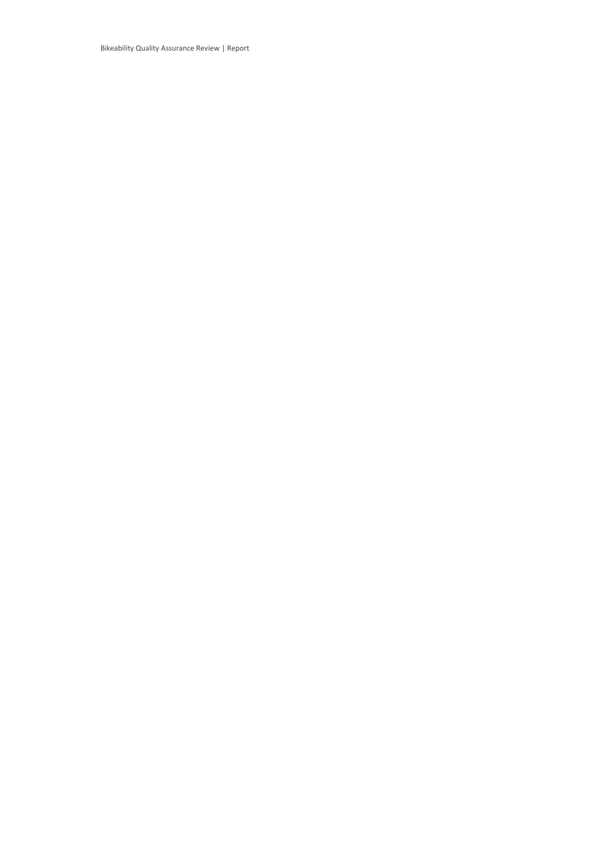Bikeability Quality Assurance Review | Report